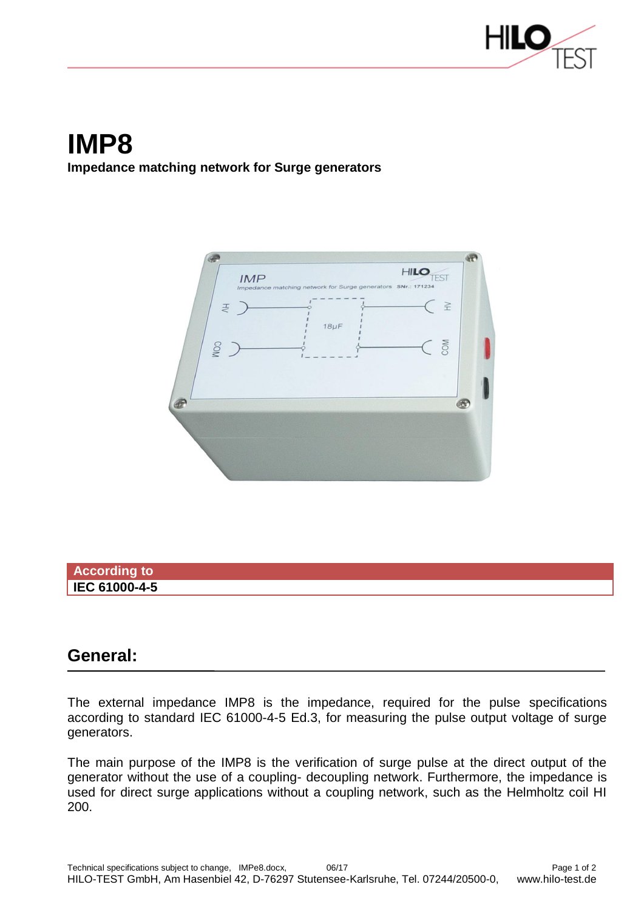

## **IMP8 Impedance matching network for Surge generators**



## **According to IEC 61000-4-5**

## **General:**

The external impedance IMP8 is the impedance, required for the pulse specifications according to standard IEC 61000-4-5 Ed.3, for measuring the pulse output voltage of surge generators.

The main purpose of the IMP8 is the verification of surge pulse at the direct output of the generator without the use of a coupling- decoupling network. Furthermore, the impedance is used for direct surge applications without a coupling network, such as the Helmholtz coil HI 200.